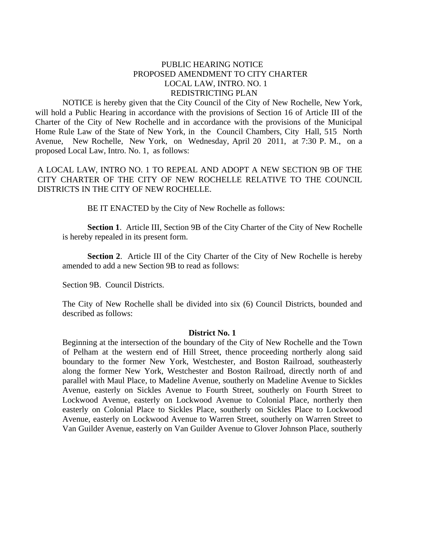# PUBLIC HEARING NOTICE PROPOSED AMENDMENT TO CITY CHARTER LOCAL LAW, INTRO. NO. 1 REDISTRICTING PLAN

NOTICE is hereby given that the City Council of the City of New Rochelle, New York, will hold a Public Hearing in accordance with the provisions of Section 16 of Article III of the Charter of the City of New Rochelle and in accordance with the provisions of the Municipal Home Rule Law of the State of New York, in the Council Chambers, City Hall, 515 North Avenue, New Rochelle, New York, on Wednesday, April 20 2011, at 7:30 P. M., on a proposed Local Law, Intro. No. 1, as follows:

A LOCAL LAW, INTRO NO. 1 TO REPEAL AND ADOPT A NEW SECTION 9B OF THE CITY CHARTER OF THE CITY OF NEW ROCHELLE RELATIVE TO THE COUNCIL DISTRICTS IN THE CITY OF NEW ROCHELLE.

BE IT ENACTED by the City of New Rochelle as follows:

**Section 1**. Article III, Section 9B of the City Charter of the City of New Rochelle is hereby repealed in its present form.

**Section 2**. Article III of the City Charter of the City of New Rochelle is hereby amended to add a new Section 9B to read as follows:

Section 9B. Council Districts.

The City of New Rochelle shall be divided into six (6) Council Districts, bounded and described as follows:

## **District No. 1**

Beginning at the intersection of the boundary of the City of New Rochelle and the Town of Pelham at the western end of Hill Street, thence proceeding northerly along said boundary to the former New York, Westchester, and Boston Railroad, southeasterly along the former New York, Westchester and Boston Railroad, directly north of and parallel with Maul Place, to Madeline Avenue, southerly on Madeline Avenue to Sickles Avenue, easterly on Sickles Avenue to Fourth Street, southerly on Fourth Street to Lockwood Avenue, easterly on Lockwood Avenue to Colonial Place, northerly then easterly on Colonial Place to Sickles Place, southerly on Sickles Place to Lockwood Avenue, easterly on Lockwood Avenue to Warren Street, southerly on Warren Street to Van Guilder Avenue, easterly on Van Guilder Avenue to Glover Johnson Place, southerly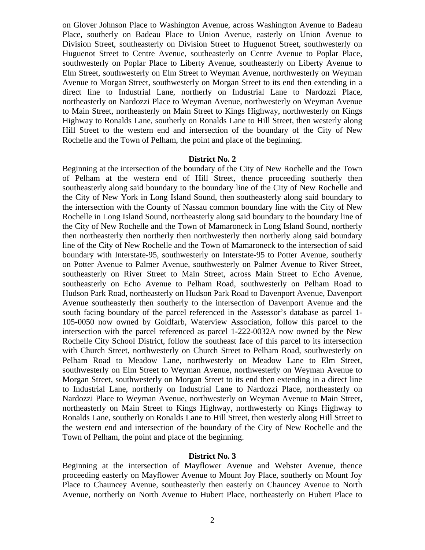on Glover Johnson Place to Washington Avenue, across Washington Avenue to Badeau Place, southerly on Badeau Place to Union Avenue, easterly on Union Avenue to Division Street, southeasterly on Division Street to Huguenot Street, southwesterly on Huguenot Street to Centre Avenue, southeasterly on Centre Avenue to Poplar Place, southwesterly on Poplar Place to Liberty Avenue, southeasterly on Liberty Avenue to Elm Street, southwesterly on Elm Street to Weyman Avenue, northwesterly on Weyman Avenue to Morgan Street, southwesterly on Morgan Street to its end then extending in a direct line to Industrial Lane, northerly on Industrial Lane to Nardozzi Place, northeasterly on Nardozzi Place to Weyman Avenue, northwesterly on Weyman Avenue to Main Street, northeasterly on Main Street to Kings Highway, northwesterly on Kings Highway to Ronalds Lane, southerly on Ronalds Lane to Hill Street, then westerly along Hill Street to the western end and intersection of the boundary of the City of New Rochelle and the Town of Pelham, the point and place of the beginning.

### **District No. 2**

Beginning at the intersection of the boundary of the City of New Rochelle and the Town of Pelham at the western end of Hill Street, thence proceeding southerly then southeasterly along said boundary to the boundary line of the City of New Rochelle and the City of New York in Long Island Sound, then southeasterly along said boundary to the intersection with the County of Nassau common boundary line with the City of New Rochelle in Long Island Sound, northeasterly along said boundary to the boundary line of the City of New Rochelle and the Town of Mamaroneck in Long Island Sound, northerly then northeasterly then northerly then northwesterly then northerly along said boundary line of the City of New Rochelle and the Town of Mamaroneck to the intersection of said boundary with Interstate-95, southwesterly on Interstate-95 to Potter Avenue, southerly on Potter Avenue to Palmer Avenue, southwesterly on Palmer Avenue to River Street, southeasterly on River Street to Main Street, across Main Street to Echo Avenue, southeasterly on Echo Avenue to Pelham Road, southwesterly on Pelham Road to Hudson Park Road, northeasterly on Hudson Park Road to Davenport Avenue, Davenport Avenue southeasterly then southerly to the intersection of Davenport Avenue and the south facing boundary of the parcel referenced in the Assessor's database as parcel 1- 105-0050 now owned by Goldfarb, Waterview Association, follow this parcel to the intersection with the parcel referenced as parcel 1-222-0032A now owned by the New Rochelle City School District, follow the southeast face of this parcel to its intersection with Church Street, northwesterly on Church Street to Pelham Road, southwesterly on Pelham Road to Meadow Lane, northwesterly on Meadow Lane to Elm Street, southwesterly on Elm Street to Weyman Avenue, northwesterly on Weyman Avenue to Morgan Street, southwesterly on Morgan Street to its end then extending in a direct line to Industrial Lane, northerly on Industrial Lane to Nardozzi Place, northeasterly on Nardozzi Place to Weyman Avenue, northwesterly on Weyman Avenue to Main Street, northeasterly on Main Street to Kings Highway, northwesterly on Kings Highway to Ronalds Lane, southerly on Ronalds Lane to Hill Street, then westerly along Hill Street to the western end and intersection of the boundary of the City of New Rochelle and the Town of Pelham, the point and place of the beginning.

#### **District No. 3**

Beginning at the intersection of Mayflower Avenue and Webster Avenue, thence proceeding easterly on Mayflower Avenue to Mount Joy Place, southerly on Mount Joy Place to Chauncey Avenue, southeasterly then easterly on Chauncey Avenue to North Avenue, northerly on North Avenue to Hubert Place, northeasterly on Hubert Place to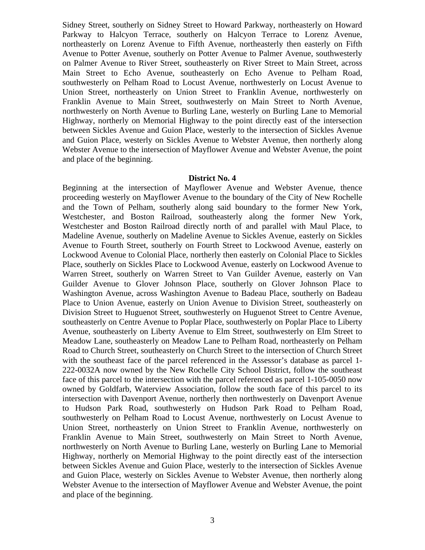Sidney Street, southerly on Sidney Street to Howard Parkway, northeasterly on Howard Parkway to Halcyon Terrace, southerly on Halcyon Terrace to Lorenz Avenue, northeasterly on Lorenz Avenue to Fifth Avenue, northeasterly then easterly on Fifth Avenue to Potter Avenue, southerly on Potter Avenue to Palmer Avenue, southwesterly on Palmer Avenue to River Street, southeasterly on River Street to Main Street, across Main Street to Echo Avenue, southeasterly on Echo Avenue to Pelham Road, southwesterly on Pelham Road to Locust Avenue, northwesterly on Locust Avenue to Union Street, northeasterly on Union Street to Franklin Avenue, northwesterly on Franklin Avenue to Main Street, southwesterly on Main Street to North Avenue, northwesterly on North Avenue to Burling Lane, westerly on Burling Lane to Memorial Highway, northerly on Memorial Highway to the point directly east of the intersection between Sickles Avenue and Guion Place, westerly to the intersection of Sickles Avenue and Guion Place, westerly on Sickles Avenue to Webster Avenue, then northerly along Webster Avenue to the intersection of Mayflower Avenue and Webster Avenue, the point and place of the beginning.

#### **District No. 4**

Beginning at the intersection of Mayflower Avenue and Webster Avenue, thence proceeding westerly on Mayflower Avenue to the boundary of the City of New Rochelle and the Town of Pelham, southerly along said boundary to the former New York, Westchester, and Boston Railroad, southeasterly along the former New York, Westchester and Boston Railroad directly north of and parallel with Maul Place, to Madeline Avenue, southerly on Madeline Avenue to Sickles Avenue, easterly on Sickles Avenue to Fourth Street, southerly on Fourth Street to Lockwood Avenue, easterly on Lockwood Avenue to Colonial Place, northerly then easterly on Colonial Place to Sickles Place, southerly on Sickles Place to Lockwood Avenue, easterly on Lockwood Avenue to Warren Street, southerly on Warren Street to Van Guilder Avenue, easterly on Van Guilder Avenue to Glover Johnson Place, southerly on Glover Johnson Place to Washington Avenue, across Washington Avenue to Badeau Place, southerly on Badeau Place to Union Avenue, easterly on Union Avenue to Division Street, southeasterly on Division Street to Huguenot Street, southwesterly on Huguenot Street to Centre Avenue, southeasterly on Centre Avenue to Poplar Place, southwesterly on Poplar Place to Liberty Avenue, southeasterly on Liberty Avenue to Elm Street, southwesterly on Elm Street to Meadow Lane, southeasterly on Meadow Lane to Pelham Road, northeasterly on Pelham Road to Church Street, southeasterly on Church Street to the intersection of Church Street with the southeast face of the parcel referenced in the Assessor's database as parcel 1- 222-0032A now owned by the New Rochelle City School District, follow the southeast face of this parcel to the intersection with the parcel referenced as parcel 1-105-0050 now owned by Goldfarb, Waterview Association, follow the south face of this parcel to its intersection with Davenport Avenue, northerly then northwesterly on Davenport Avenue to Hudson Park Road, southwesterly on Hudson Park Road to Pelham Road, southwesterly on Pelham Road to Locust Avenue, northwesterly on Locust Avenue to Union Street, northeasterly on Union Street to Franklin Avenue, northwesterly on Franklin Avenue to Main Street, southwesterly on Main Street to North Avenue, northwesterly on North Avenue to Burling Lane, westerly on Burling Lane to Memorial Highway, northerly on Memorial Highway to the point directly east of the intersection between Sickles Avenue and Guion Place, westerly to the intersection of Sickles Avenue and Guion Place, westerly on Sickles Avenue to Webster Avenue, then northerly along Webster Avenue to the intersection of Mayflower Avenue and Webster Avenue, the point and place of the beginning.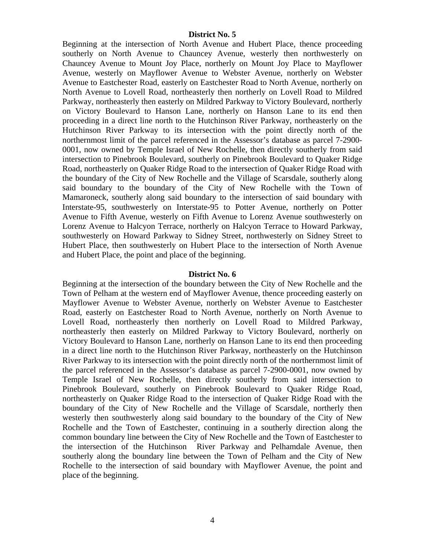## **District No. 5**

Beginning at the intersection of North Avenue and Hubert Place, thence proceeding southerly on North Avenue to Chauncey Avenue, westerly then northwesterly on Chauncey Avenue to Mount Joy Place, northerly on Mount Joy Place to Mayflower Avenue, westerly on Mayflower Avenue to Webster Avenue, northerly on Webster Avenue to Eastchester Road, easterly on Eastchester Road to North Avenue, northerly on North Avenue to Lovell Road, northeasterly then northerly on Lovell Road to Mildred Parkway, northeasterly then easterly on Mildred Parkway to Victory Boulevard, northerly on Victory Boulevard to Hanson Lane, northerly on Hanson Lane to its end then proceeding in a direct line north to the Hutchinson River Parkway, northeasterly on the Hutchinson River Parkway to its intersection with the point directly north of the northernmost limit of the parcel referenced in the Assessor's database as parcel 7-2900- 0001, now owned by Temple Israel of New Rochelle, then directly southerly from said intersection to Pinebrook Boulevard, southerly on Pinebrook Boulevard to Quaker Ridge Road, northeasterly on Quaker Ridge Road to the intersection of Quaker Ridge Road with the boundary of the City of New Rochelle and the Village of Scarsdale, southerly along said boundary to the boundary of the City of New Rochelle with the Town of Mamaroneck, southerly along said boundary to the intersection of said boundary with Interstate-95, southwesterly on Interstate-95 to Potter Avenue, northerly on Potter Avenue to Fifth Avenue, westerly on Fifth Avenue to Lorenz Avenue southwesterly on Lorenz Avenue to Halcyon Terrace, northerly on Halcyon Terrace to Howard Parkway, southwesterly on Howard Parkway to Sidney Street, northwesterly on Sidney Street to Hubert Place, then southwesterly on Hubert Place to the intersection of North Avenue and Hubert Place, the point and place of the beginning.

#### **District No. 6**

Beginning at the intersection of the boundary between the City of New Rochelle and the Town of Pelham at the western end of Mayflower Avenue, thence proceeding easterly on Mayflower Avenue to Webster Avenue, northerly on Webster Avenue to Eastchester Road, easterly on Eastchester Road to North Avenue, northerly on North Avenue to Lovell Road, northeasterly then northerly on Lovell Road to Mildred Parkway, northeasterly then easterly on Mildred Parkway to Victory Boulevard, northerly on Victory Boulevard to Hanson Lane, northerly on Hanson Lane to its end then proceeding in a direct line north to the Hutchinson River Parkway, northeasterly on the Hutchinson River Parkway to its intersection with the point directly north of the northernmost limit of the parcel referenced in the Assessor's database as parcel 7-2900-0001, now owned by Temple Israel of New Rochelle, then directly southerly from said intersection to Pinebrook Boulevard, southerly on Pinebrook Boulevard to Quaker Ridge Road, northeasterly on Quaker Ridge Road to the intersection of Quaker Ridge Road with the boundary of the City of New Rochelle and the Village of Scarsdale, northerly then westerly then southwesterly along said boundary to the boundary of the City of New Rochelle and the Town of Eastchester, continuing in a southerly direction along the common boundary line between the City of New Rochelle and the Town of Eastchester to the intersection of the Hutchinson River Parkway and Pelhamdale Avenue, then southerly along the boundary line between the Town of Pelham and the City of New Rochelle to the intersection of said boundary with Mayflower Avenue, the point and place of the beginning.